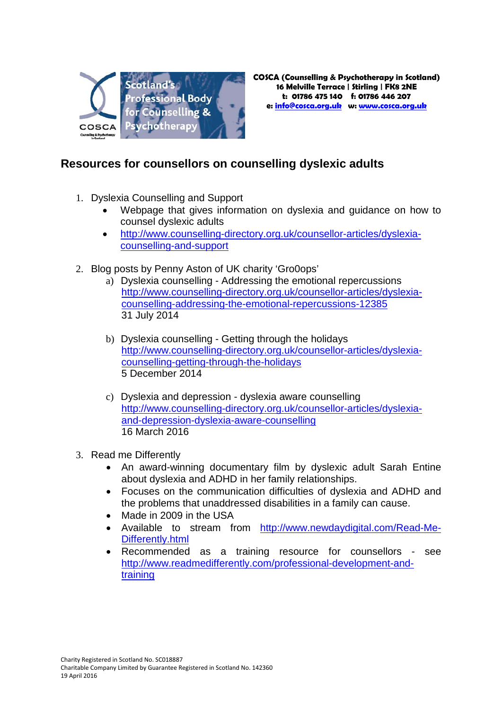

## **Resources for counsellors on counselling dyslexic adults**

- 1. Dyslexia Counselling and Support
	- Webpage that gives information on dyslexia and guidance on how to counsel dyslexic adults
	- [http://www.counselling-directory.org.uk/counsellor-articles/dyslexia](http://www.counselling-directory.org.uk/counsellor-articles/dyslexia-counselling-and-support)[counselling-and-support](http://www.counselling-directory.org.uk/counsellor-articles/dyslexia-counselling-and-support)
- 2. Blog posts by Penny Aston of UK charity 'Gro0ops'
	- a) Dyslexia counselling Addressing the emotional repercussions [http://www.counselling-directory.org.uk/counsellor-articles/dyslexia](http://www.counselling-directory.org.uk/counsellor-articles/dyslexia-counselling-addressing-the-emotional-repercussions-12385)[counselling-addressing-the-emotional-repercussions-12385](http://www.counselling-directory.org.uk/counsellor-articles/dyslexia-counselling-addressing-the-emotional-repercussions-12385)  31 July 2014
	- b) Dyslexia counselling Getting through the holidays [http://www.counselling-directory.org.uk/counsellor-articles/dyslexia](http://www.counselling-directory.org.uk/counsellor-articles/dyslexia-counselling-getting-through-the-holidays)[counselling-getting-through-the-holidays](http://www.counselling-directory.org.uk/counsellor-articles/dyslexia-counselling-getting-through-the-holidays)  5 December 2014
	- c) Dyslexia and depression dyslexia aware counselling [http://www.counselling-directory.org.uk/counsellor-articles/dyslexia](http://www.counselling-directory.org.uk/counsellor-articles/dyslexia-and-depression-dyslexia-aware-counselling)[and-depression-dyslexia-aware-counselling](http://www.counselling-directory.org.uk/counsellor-articles/dyslexia-and-depression-dyslexia-aware-counselling) 16 March 2016
- 3. Read me Differently
	- An award-winning documentary film by dyslexic adult Sarah Entine about dyslexia and ADHD in her family relationships.
	- Focuses on the communication difficulties of dyslexia and ADHD and the problems that unaddressed disabilities in a family can cause.
	- Made in 2009 in the USA
	- Available to stream from [http://www.newdaydigital.com/Read-Me-](http://www.newdaydigital.com/Read-Me-Differently.html)[Differently.html](http://www.newdaydigital.com/Read-Me-Differently.html)
	- Recommended as a training resource for counsellors see [http://www.readmedifferently.com/professional-development-and](http://www.readmedifferently.com/professional-development-and-training)[training](http://www.readmedifferently.com/professional-development-and-training)